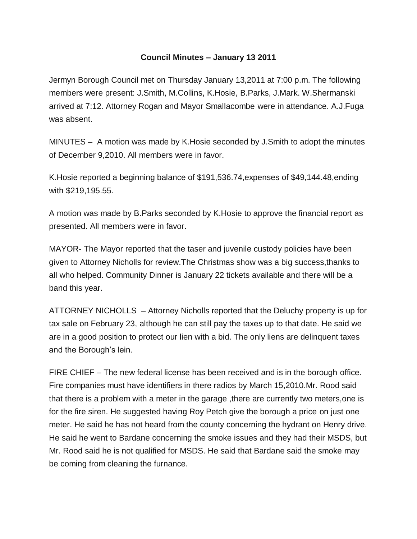## **Council Minutes – January 13 2011**

Jermyn Borough Council met on Thursday January 13,2011 at 7:00 p.m. The following members were present: J.Smith, M.Collins, K.Hosie, B.Parks, J.Mark. W.Shermanski arrived at 7:12. Attorney Rogan and Mayor Smallacombe were in attendance. A.J.Fuga was absent.

MINUTES – A motion was made by K.Hosie seconded by J.Smith to adopt the minutes of December 9,2010. All members were in favor.

K.Hosie reported a beginning balance of \$191,536.74,expenses of \$49,144.48,ending with \$219,195.55.

A motion was made by B.Parks seconded by K.Hosie to approve the financial report as presented. All members were in favor.

MAYOR- The Mayor reported that the taser and juvenile custody policies have been given to Attorney Nicholls for review.The Christmas show was a big success,thanks to all who helped. Community Dinner is January 22 tickets available and there will be a band this year.

ATTORNEY NICHOLLS – Attorney Nicholls reported that the Deluchy property is up for tax sale on February 23, although he can still pay the taxes up to that date. He said we are in a good position to protect our lien with a bid. The only liens are delinquent taxes and the Borough's lein.

FIRE CHIEF – The new federal license has been received and is in the borough office. Fire companies must have identifiers in there radios by March 15,2010.Mr. Rood said that there is a problem with a meter in the garage ,there are currently two meters,one is for the fire siren. He suggested having Roy Petch give the borough a price on just one meter. He said he has not heard from the county concerning the hydrant on Henry drive. He said he went to Bardane concerning the smoke issues and they had their MSDS, but Mr. Rood said he is not qualified for MSDS. He said that Bardane said the smoke may be coming from cleaning the furnance.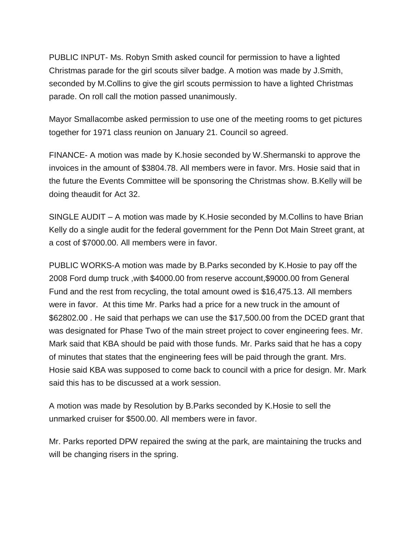PUBLIC INPUT- Ms. Robyn Smith asked council for permission to have a lighted Christmas parade for the girl scouts silver badge. A motion was made by J.Smith, seconded by M.Collins to give the girl scouts permission to have a lighted Christmas parade. On roll call the motion passed unanimously.

Mayor Smallacombe asked permission to use one of the meeting rooms to get pictures together for 1971 class reunion on January 21. Council so agreed.

FINANCE- A motion was made by K.hosie seconded by W.Shermanski to approve the invoices in the amount of \$3804.78. All members were in favor. Mrs. Hosie said that in the future the Events Committee will be sponsoring the Christmas show. B.Kelly will be doing theaudit for Act 32.

SINGLE AUDIT – A motion was made by K.Hosie seconded by M.Collins to have Brian Kelly do a single audit for the federal government for the Penn Dot Main Street grant, at a cost of \$7000.00. All members were in favor.

PUBLIC WORKS-A motion was made by B.Parks seconded by K.Hosie to pay off the 2008 Ford dump truck ,with \$4000.00 from reserve account,\$9000.00 from General Fund and the rest from recycling, the total amount owed is \$16,475.13. All members were in favor. At this time Mr. Parks had a price for a new truck in the amount of \$62802.00 . He said that perhaps we can use the \$17,500.00 from the DCED grant that was designated for Phase Two of the main street project to cover engineering fees. Mr. Mark said that KBA should be paid with those funds. Mr. Parks said that he has a copy of minutes that states that the engineering fees will be paid through the grant. Mrs. Hosie said KBA was supposed to come back to council with a price for design. Mr. Mark said this has to be discussed at a work session.

A motion was made by Resolution by B.Parks seconded by K.Hosie to sell the unmarked cruiser for \$500.00. All members were in favor.

Mr. Parks reported DPW repaired the swing at the park, are maintaining the trucks and will be changing risers in the spring.